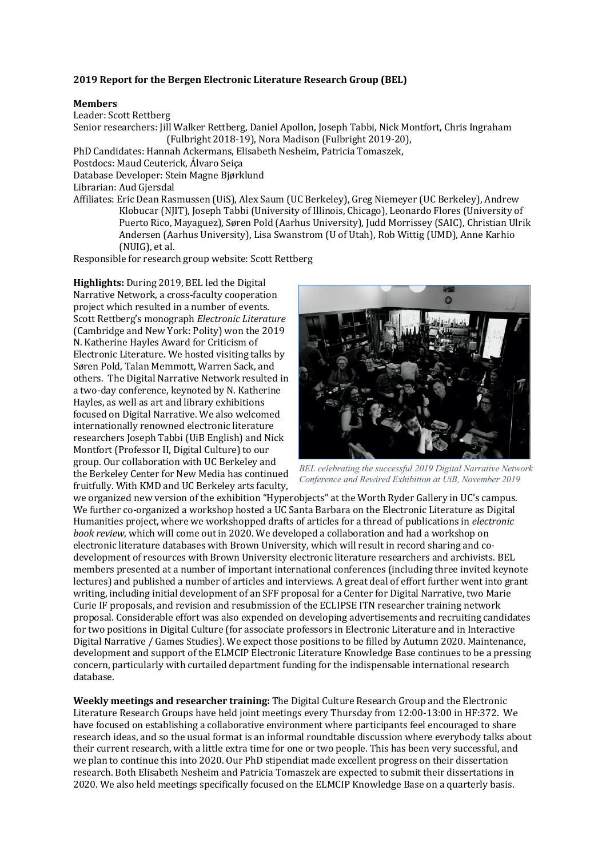# **2019** Report for the Bergen Electronic Literature Research Group (BEL)

#### **Members**

Leader: Scott Rettberg Senior researchers: Jill Walker Rettberg, Daniel Apollon, Joseph Tabbi, Nick Montfort, Chris Ingraham (Fulbright 2018-19), Nora Madison (Fulbright 2019-20), PhD Candidates: Hannah Ackermans, Elisabeth Nesheim, Patricia Tomaszek,

Postdocs: Maud Ceuterick, Álvaro Seiça

Database Developer: Stein Magne Bjørklund

Librarian: Aud Giersdal

Affiliates: Eric Dean Rasmussen (UiS), Alex Saum (UC Berkeley), Greg Niemeyer (UC Berkeley), Andrew Klobucar (NJIT), Joseph Tabbi (University of Illinois, Chicago), Leonardo Flores (University of Puerto Rico, Mayaguez), Søren Pold (Aarhus University), Judd Morrissey (SAIC), Christian Ulrik Andersen (Aarhus University), Lisa Swanstrom (U of Utah), Rob Wittig (UMD), Anne Karhio (NUIG), et al.

Responsible for research group website: Scott Rettberg

**Highlights:** During 2019, BEL led the Digital Narrative Network, a cross-faculty cooperation project which resulted in a number of events. Scott Rettberg's monograph *Electronic Literature* (Cambridge and New York: Polity) won the 2019 N. Katherine Hayles Award for Criticism of Electronic Literature. We hosted visiting talks by Søren Pold, Talan Memmott, Warren Sack, and others. The Digital Narrative Network resulted in a two-day conference, keynoted by N. Katherine Hayles, as well as art and library exhibitions focused on Digital Narrative. We also welcomed internationally renowned electronic literature researchers Joseph Tabbi (UiB English) and Nick Montfort (Professor II, Digital Culture) to our group. Our collaboration with UC Berkeley and the Berkeley Center for New Media has continued fruitfully. With KMD and UC Berkeley arts faculty.



*BEL celebrating the successful 2019 Digital Narrative Network Conference and Rewired Exhibition at UiB, November 2019*

we organized new version of the exhibition "Hyperobjects" at the Worth Ryder Gallery in UC's campus. We further co-organized a workshop hosted a UC Santa Barbara on the Electronic Literature as Digital Humanities project, where we workshopped drafts of articles for a thread of publications in *electronic book review*, which will come out in 2020. We developed a collaboration and had a workshop on electronic literature databases with Brown University, which will result in record sharing and codevelopment of resources with Brown University electronic literature researchers and archivists. BEL members presented at a number of important international conferences (including three invited keynote lectures) and published a number of articles and interviews. A great deal of effort further went into grant writing, including initial development of an SFF proposal for a Center for Digital Narrative, two Marie Curie IF proposals, and revision and resubmission of the ECLIPSE ITN researcher training network proposal. Considerable effort was also expended on developing advertisements and recruiting candidates for two positions in Digital Culture (for associate professors in Electronic Literature and in Interactive Digital Narrative / Games Studies). We expect those positions to be filled by Autumn 2020. Maintenance, development and support of the ELMCIP Electronic Literature Knowledge Base continues to be a pressing concern, particularly with curtailed department funding for the indispensable international research database.

**Weekly meetings and researcher training:** The Digital Culture Research Group and the Electronic Literature Research Groups have held joint meetings every Thursday from 12:00-13:00 in HF:372. We have focused on establishing a collaborative environment where participants feel encouraged to share research ideas, and so the usual format is an informal roundtable discussion where everybody talks about their current research, with a little extra time for one or two people. This has been very successful, and we plan to continue this into 2020. Our PhD stipendiat made excellent progress on their dissertation research. Both Elisabeth Nesheim and Patricia Tomaszek are expected to submit their dissertations in 2020. We also held meetings specifically focused on the ELMCIP Knowledge Base on a quarterly basis.